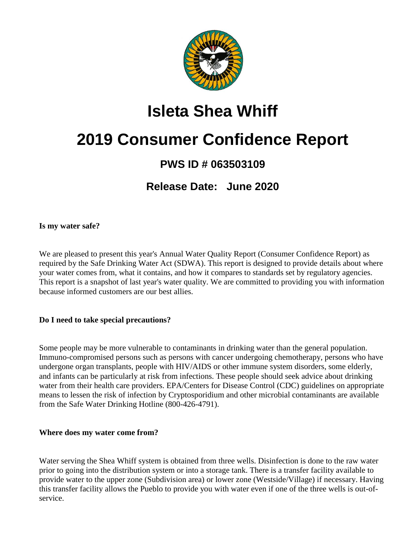

# **Isleta Shea Whiff**

# **2019 Consumer Confidence Report**

### **PWS ID # 063503109**

**Release Date: June 2020**

#### **Is my water safe?**

We are pleased to present this year's Annual Water Quality Report (Consumer Confidence Report) as required by the Safe Drinking Water Act (SDWA). This report is designed to provide details about where your water comes from, what it contains, and how it compares to standards set by regulatory agencies. This report is a snapshot of last year's water quality. We are committed to providing you with information because informed customers are our best allies.

#### **Do I need to take special precautions?**

Some people may be more vulnerable to contaminants in drinking water than the general population. Immuno-compromised persons such as persons with cancer undergoing chemotherapy, persons who have undergone organ transplants, people with HIV/AIDS or other immune system disorders, some elderly, and infants can be particularly at risk from infections. These people should seek advice about drinking water from their health care providers. EPA/Centers for Disease Control (CDC) guidelines on appropriate means to lessen the risk of infection by Cryptosporidium and other microbial contaminants are available from the Safe Water Drinking Hotline (800-426-4791).

#### **Where does my water come from?**

Water serving the Shea Whiff system is obtained from three wells. Disinfection is done to the raw water prior to going into the distribution system or into a storage tank. There is a transfer facility available to provide water to the upper zone (Subdivision area) or lower zone (Westside/Village) if necessary. Having this transfer facility allows the Pueblo to provide you with water even if one of the three wells is out-ofservice.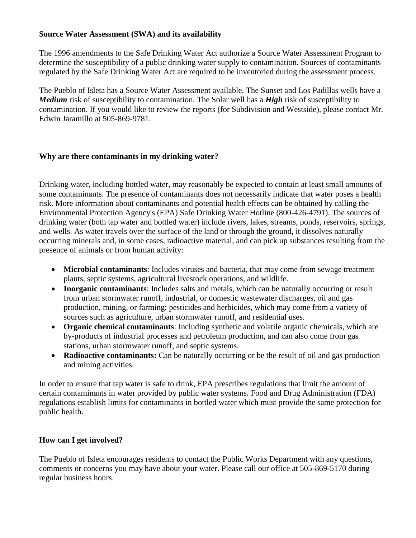#### **Source Water Assessment (SWA) and its availability**

The 1996 amendments to the Safe Drinking Water Act authorize a Source Water Assessment Program to determine the susceptibility of a public drinking water supply to contamination. Sources of contaminants regulated by the Safe Drinking Water Act are required to be inventoried during the assessment process.

The Pueblo of Isleta has a Source Water Assessment available. The Sunset and Los Padillas wells have a *Medium* risk of susceptibility to contamination. The Solar well has a *High* risk of susceptibility to contamination. If you would like to review the reports (for Subdivision and Westside), please contact Mr. Edwin Jaramillo at 505-869-9781.

#### **Why are there contaminants in my drinking water?**

Drinking water, including bottled water, may reasonably be expected to contain at least small amounts of some contaminants. The presence of contaminants does not necessarily indicate that water poses a health risk. More information about contaminants and potential health effects can be obtained by calling the Environmental Protection Agency's (EPA) Safe Drinking Water Hotline (800-426-4791). The sources of drinking water (both tap water and bottled water) include rivers, lakes, streams, ponds, reservoirs, springs, and wells. As water travels over the surface of the land or through the ground, it dissolves naturally occurring minerals and, in some cases, radioactive material, and can pick up substances resulting from the presence of animals or from human activity:

- **Microbial contaminants**: Includes viruses and bacteria, that may come from sewage treatment plants, septic systems, agricultural livestock operations, and wildlife.
- **Inorganic contaminants**: Includes salts and metals, which can be naturally occurring or result from urban stormwater runoff, industrial, or domestic wastewater discharges, oil and gas production, mining, or farming; pesticides and herbicides, which may come from a variety of sources such as agriculture, urban stormwater runoff, and residential uses.
- **Organic chemical contaminants**: Including synthetic and volatile organic chemicals, which are by-products of industrial processes and petroleum production, and can also come from gas stations, urban stormwater runoff, and septic systems.
- **Radioactive contaminants:** Can be naturally occurring or be the result of oil and gas production and mining activities.

In order to ensure that tap water is safe to drink, EPA prescribes regulations that limit the amount of certain contaminants in water provided by public water systems. Food and Drug Administration (FDA) regulations establish limits for contaminants in bottled water which must provide the same protection for public health.

#### **How can I get involved?**

The Pueblo of Isleta encourages residents to contact the Public Works Department with any questions, comments or concerns you may have about your water. Please call our office at 505-869-5170 during regular business hours.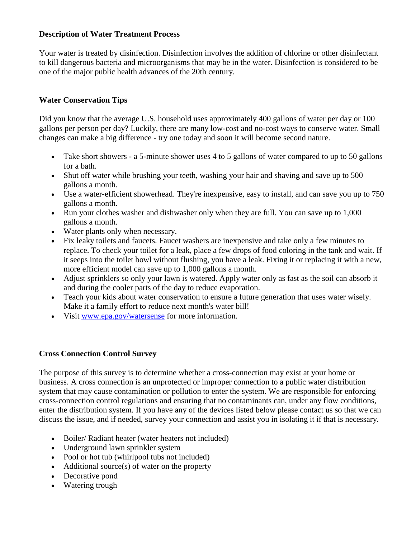#### **Description of Water Treatment Process**

Your water is treated by disinfection. Disinfection involves the addition of chlorine or other disinfectant to kill dangerous bacteria and microorganisms that may be in the water. Disinfection is considered to be one of the major public health advances of the 20th century.

#### **Water Conservation Tips**

Did you know that the average U.S. household uses approximately 400 gallons of water per day or 100 gallons per person per day? Luckily, there are many low-cost and no-cost ways to conserve water. Small changes can make a big difference - try one today and soon it will become second nature.

- Take short showers a 5-minute shower uses 4 to 5 gallons of water compared to up to 50 gallons for a bath.
- Shut off water while brushing your teeth, washing your hair and shaving and save up to 500 gallons a month.
- Use a water-efficient showerhead. They're inexpensive, easy to install, and can save you up to 750 gallons a month.
- Run your clothes washer and dishwasher only when they are full. You can save up to 1,000 gallons a month.
- Water plants only when necessary.
- Fix leaky toilets and faucets. Faucet washers are inexpensive and take only a few minutes to replace. To check your toilet for a leak, place a few drops of food coloring in the tank and wait. If it seeps into the toilet bowl without flushing, you have a leak. Fixing it or replacing it with a new, more efficient model can save up to 1,000 gallons a month.
- Adjust sprinklers so only your lawn is watered. Apply water only as fast as the soil can absorb it and during the cooler parts of the day to reduce evaporation.
- Teach your kids about water conservation to ensure a future generation that uses water wisely. Make it a family effort to reduce next month's water bill!
- Visit [www.epa.gov/watersense](http://www.epa.gov/watersense) for more information.

#### **Cross Connection Control Survey**

The purpose of this survey is to determine whether a cross-connection may exist at your home or business. A cross connection is an unprotected or improper connection to a public water distribution system that may cause contamination or pollution to enter the system. We are responsible for enforcing cross-connection control regulations and ensuring that no contaminants can, under any flow conditions, enter the distribution system. If you have any of the devices listed below please contact us so that we can discuss the issue, and if needed, survey your connection and assist you in isolating it if that is necessary.

- Boiler/ Radiant heater (water heaters not included)
- Underground lawn sprinkler system
- Pool or hot tub (whirlpool tubs not included)
- Additional source(s) of water on the property
- Decorative pond
- Watering trough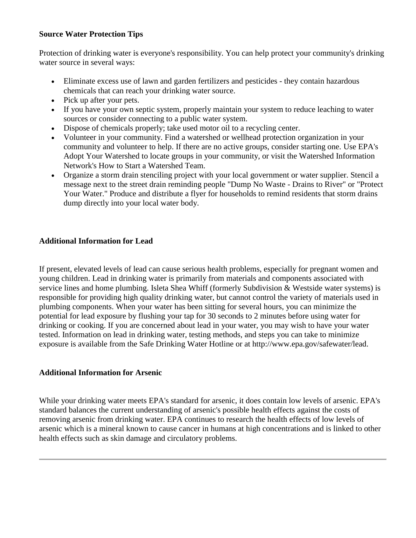#### **Source Water Protection Tips**

Protection of drinking water is everyone's responsibility. You can help protect your community's drinking water source in several ways:

- Eliminate excess use of lawn and garden fertilizers and pesticides they contain hazardous chemicals that can reach your drinking water source.
- Pick up after your pets.
- If you have your own septic system, properly maintain your system to reduce leaching to water sources or consider connecting to a public water system.
- Dispose of chemicals properly; take used motor oil to a recycling center.
- Volunteer in your community. Find a watershed or wellhead protection organization in your community and volunteer to help. If there are no active groups, consider starting one. Use EPA's Adopt Your Watershed to locate groups in your community, or visit the Watershed Information Network's How to Start a Watershed Team.
- Organize a storm drain stenciling project with your local government or water supplier. Stencil a message next to the street drain reminding people "Dump No Waste - Drains to River" or "Protect Your Water." Produce and distribute a flyer for households to remind residents that storm drains dump directly into your local water body.

#### **Additional Information for Lead**

If present, elevated levels of lead can cause serious health problems, especially for pregnant women and young children. Lead in drinking water is primarily from materials and components associated with service lines and home plumbing. Isleta Shea Whiff (formerly Subdivision & Westside water systems) is responsible for providing high quality drinking water, but cannot control the variety of materials used in plumbing components. When your water has been sitting for several hours, you can minimize the potential for lead exposure by flushing your tap for 30 seconds to 2 minutes before using water for drinking or cooking. If you are concerned about lead in your water, you may wish to have your water tested. Information on lead in drinking water, testing methods, and steps you can take to minimize exposure is available from the Safe Drinking Water Hotline or at http://www.epa.gov/safewater/lead.

#### **Additional Information for Arsenic**

While your drinking water meets EPA's standard for arsenic, it does contain low levels of arsenic. EPA's standard balances the current understanding of arsenic's possible health effects against the costs of removing arsenic from drinking water. EPA continues to research the health effects of low levels of arsenic which is a mineral known to cause cancer in humans at high concentrations and is linked to other health effects such as skin damage and circulatory problems.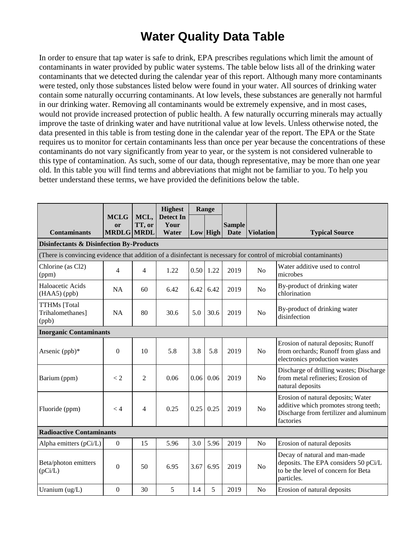### **Water Quality Data Table**

In order to ensure that tap water is safe to drink, EPA prescribes regulations which limit the amount of contaminants in water provided by public water systems. The table below lists all of the drinking water contaminants that we detected during the calendar year of this report. Although many more contaminants were tested, only those substances listed below were found in your water. All sources of drinking water contain some naturally occurring contaminants. At low levels, these substances are generally not harmful in our drinking water. Removing all contaminants would be extremely expensive, and in most cases, would not provide increased protection of public health. A few naturally occurring minerals may actually improve the taste of drinking water and have nutritional value at low levels. Unless otherwise noted, the data presented in this table is from testing done in the calendar year of the report. The EPA or the State requires us to monitor for certain contaminants less than once per year because the concentrations of these contaminants do not vary significantly from year to year, or the system is not considered vulnerable to this type of contamination. As such, some of our data, though representative, may be more than one year old. In this table you will find terms and abbreviations that might not be familiar to you. To help you better understand these terms, we have provided the definitions below the table.

|                                                     |                                        |                | <b>Highest</b>                    |      | Range           |                              |                  |                                                                                                                                    |
|-----------------------------------------------------|----------------------------------------|----------------|-----------------------------------|------|-----------------|------------------------------|------------------|------------------------------------------------------------------------------------------------------------------------------------|
| <b>Contaminants</b>                                 | <b>MCLG</b><br>or<br><b>MRDLG MRDL</b> | MCL,<br>TT, or | <b>Detect In</b><br>Your<br>Water |      | <b>Low</b> High | <b>Sample</b><br><b>Date</b> | <b>Violation</b> | <b>Typical Source</b>                                                                                                              |
| <b>Disinfectants &amp; Disinfection By-Products</b> |                                        |                |                                   |      |                 |                              |                  |                                                                                                                                    |
|                                                     |                                        |                |                                   |      |                 |                              |                  | (There is convincing evidence that addition of a disinfectant is necessary for control of microbial contaminants)                  |
| Chlorine (as Cl2)<br>(ppm)                          | 4                                      | $\overline{4}$ | 1.22                              |      | $0.50$ 1.22     | 2019                         | N <sub>o</sub>   | Water additive used to control<br>microbes                                                                                         |
| Haloacetic Acids<br>$(HAA5)$ (ppb)                  | <b>NA</b>                              | 60             | 6.42                              | 6.42 | 6.42            | 2019                         | N <sub>o</sub>   | By-product of drinking water<br>chlorination                                                                                       |
| <b>TTHMs</b> [Total<br>Trihalomethanes]<br>(ppb)    | <b>NA</b>                              | 80             | 30.6                              | 5.0  | 30.6            | 2019                         | N <sub>o</sub>   | By-product of drinking water<br>disinfection                                                                                       |
| <b>Inorganic Contaminants</b>                       |                                        |                |                                   |      |                 |                              |                  |                                                                                                                                    |
| Arsenic (ppb)*                                      | $\boldsymbol{0}$                       | 10             | 5.8                               | 3.8  | 5.8             | 2019                         | N <sub>o</sub>   | Erosion of natural deposits; Runoff<br>from orchards; Runoff from glass and<br>electronics production wastes                       |
| Barium (ppm)                                        | $\lt 2$                                | $\overline{2}$ | 0.06                              | 0.06 | 0.06            | 2019                         | N <sub>o</sub>   | Discharge of drilling wastes; Discharge<br>from metal refineries; Erosion of<br>natural deposits                                   |
| Fluoride (ppm)                                      | < 4                                    | $\overline{4}$ | 0.25                              | 0.25 | 0.25            | 2019                         | N <sub>o</sub>   | Erosion of natural deposits; Water<br>additive which promotes strong teeth;<br>Discharge from fertilizer and aluminum<br>factories |
| <b>Radioactive Contaminants</b>                     |                                        |                |                                   |      |                 |                              |                  |                                                                                                                                    |
| Alpha emitters (pCi/L)                              | $\boldsymbol{0}$                       | 15             | 5.96                              | 3.0  | 5.96            | 2019                         | N <sub>o</sub>   | Erosion of natural deposits                                                                                                        |
| Beta/photon emitters<br>(pCi/L)                     | $\boldsymbol{0}$                       | 50             | 6.95                              | 3.67 | 6.95            | 2019                         | N <sub>o</sub>   | Decay of natural and man-made<br>deposits. The EPA considers 50 pCi/L<br>to be the level of concern for Beta<br>particles.         |
| Uranium $(ug/L)$                                    | $\overline{0}$                         | 30             | 5                                 | 1.4  | 5               | 2019                         | No               | Erosion of natural deposits                                                                                                        |